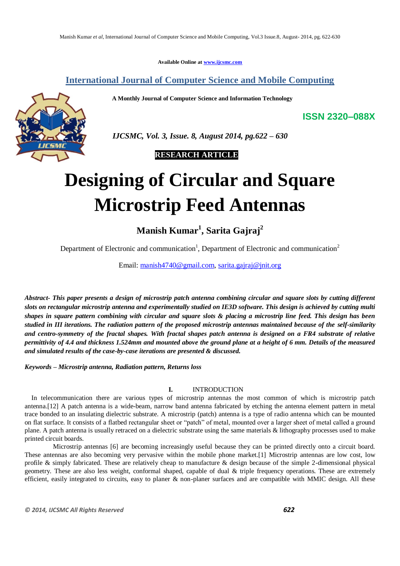**Available Online at www.ijcsmc.com**

# **International Journal of Computer Science and Mobile Computing**

 **A Monthly Journal of Computer Science and Information Technology**

**ISSN 2320–088X**



 *IJCSMC, Vol. 3, Issue. 8, August 2014, pg.622 – 630*

# **RESEARCH ARTICLE**

# **Designing of Circular and Square Microstrip Feed Antennas**

**Manish Kumar<sup>1</sup> , Sarita Gajraj<sup>2</sup>**

Department of Electronic and communication<sup>1</sup>, Department of Electronic and communication<sup>2</sup>

Email: manish4740@gmail.com, sarita.gajraj@jnit.org

*Abstract- This paper presents a design of microstrip patch antenna combining circular and square slots by cutting different slots on rectangular microstrip antenna and experimentally studied on IE3D software. This design is achieved by cutting multi shapes in square pattern combining with circular and square slots & placing a microstrip line feed. This design has been studied in III iterations. The radiation pattern of the proposed microstrip antennas maintained because of the self-similarity and centro-symmetry of the fractal shapes. With fractal shapes patch antenna is designed on a FR4 substrate of relative permittivity of 4.4 and thickness 1.524mm and mounted above the ground plane at a height of 6 mm. Details of the measured and simulated results of the case-by-case iterations are presented & discussed.*

*Keywords – Microstrip antenna, Radiation pattern, Returns loss*

# **I.** INTRODUCTION

In telecommunication there are various types of microstrip antennas the most common of which is microstrip patch antenna.[12] A patch antenna is a wide-beam, narrow band antenna fabricated by etching the antenna element pattern in metal trace bonded to an insulating dielectric substrate. A microstrip (patch) antenna is a type of radio antenna which can be mounted on flat surface. It consists of a flatbed rectangular sheet or "patch" of metal, mounted over a larger sheet of metal called a ground plane. A patch antenna is usually retraced on a dielectric substrate using the same materials & lithography processes used to make printed circuit boards.

 Microstrip antennas [6] are becoming increasingly useful because they can be printed directly onto a circuit board. These antennas are also becoming very pervasive within the mobile phone market.[1] Microstrip antennas are low cost, low profile & simply fabricated. These are relatively cheap to manufacture & design because of the simple 2-dimensional physical geometry. These are also less weight, conformal shaped, capable of dual & triple frequency operations. These are extremely efficient, easily integrated to circuits, easy to planer  $\&$  non-planer surfaces and are compatible with MMIC design. All these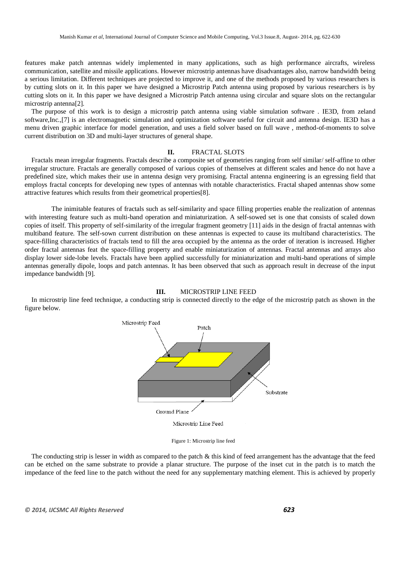features make patch antennas widely implemented in many applications, such as high performance aircrafts, wireless communication, satellite and missile applications. However microstrip antennas have disadvantages also, narrow bandwidth being a serious limitation. Different techniques are projected to improve it, and one of the methods proposed by various researchers is by cutting slots on it. In this paper we have designed a Microstrip Patch antenna using proposed by various researchers is by cutting slots on it. In this paper we have designed a Microstrip Patch antenna using circular and square slots on the rectangular microstrip antenna[2].

The purpose of this work is to design a microstrip patch antenna using viable simulation software . IE3D, from zeland software,Inc.,[7] is an electromagnetic simulation and optimization software useful for circuit and antenna design. IE3D has a menu driven graphic interface for model generation, and uses a field solver based on full wave, method-of-moments to solve current distribution on 3D and multi-layer structures of general shape.

# **II.** FRACTAL SLOTS

Fractals mean irregular fragments. Fractals describe a composite set of geometries ranging from self similar/ self-affine to other irregular structure. Fractals are generally composed of various copies of themselves at different scales and hence do not have a predefined size, which makes their use in antenna design very promising. Fractal antenna engineering is an egressing field that employs fractal concepts for developing new types of antennas with notable characteristics. Fractal shaped antennas show some attractive features which results from their geometrical properties[8].

 The inimitable features of fractals such as self-similarity and space filling properties enable the realization of antennas with interesting feature such as multi-band operation and miniaturization. A self-sowed set is one that consists of scaled down copies of itself. This property of self-similarity of the irregular fragment geometry [11] aids in the design of fractal antennas with multiband feature. The self-sown current distribution on these antennas is expected to cause its multiband characteristics. The space-filling characteristics of fractals tend to fill the area occupied by the antenna as the order of iteration is increased. Higher order fractal antennas feat the space-filling property and enable miniaturization of antennas. Fractal antennas and arrays also display lower side-lobe levels. Fractals have been applied successfully for miniaturization and multi-band operations of simple antennas generally dipole, loops and patch antennas. It has been observed that such as approach result in decrease of the input impedance bandwidth [9].



In microstrip line feed technique, a conducting strip is connected directly to the edge of the microstrip patch as shown in the figure below.



Figure 1: Microstrip line feed

The conducting strip is lesser in width as compared to the patch  $\&$  this kind of feed arrangement has the advantage that the feed can be etched on the same substrate to provide a planar structure. The purpose of the inset cut in the patch is to match the impedance of the feed line to the patch without the need for any supplementary matching element. This is achieved by properly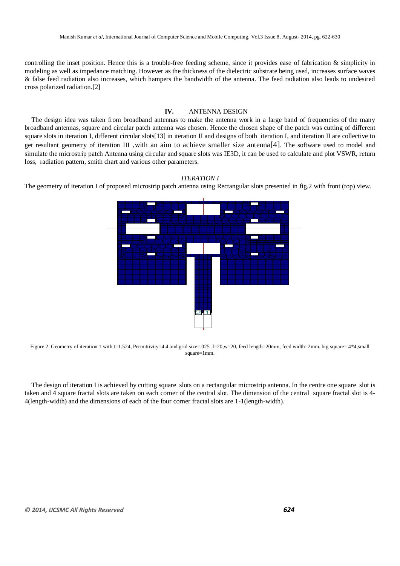controlling the inset position. Hence this is a trouble-free feeding scheme, since it provides ease of fabrication & simplicity in modeling as well as impedance matching. However as the thickness of the dielectric substrate being used, increases surface waves & false feed radiation also increases, which hampers the bandwidth of the antenna. The feed radiation also leads to undesired cross polarized radiation.[2]

# **IV.** ANTENNA DESIGN

The design idea was taken from broadband antennas to make the antenna work in a large band of frequencies of the many broadband antennas, square and circular patch antenna was chosen. Hence the chosen shape of the patch was cutting of different square slots in iteration I, different circular slots[13] in iteration II and designs of both iteration I, and iteration II are collective to get resultant geometry of iteration III ,with an aim to achieve smaller size antenna[4]. The software used to model and simulate the microstrip patch Antenna using circular and square slots was IE3D, it can be used to calculate and plot VSWR, return loss, radiation pattern, smith chart and various other parameters.

#### *ITERATION I*

The geometry of iteration I of proposed microstrip patch antenna using Rectangular slots presented in fig.2 with front (top) view.



Figure 2. Geometry of iteration 1 with t=1.524, Permittivity=4.4 and grid size=.025 ,l=20,w=20, feed length=20mm, feed width=2mm. big square= 4\*4,small  $same = 1$ mm.

The design of iteration I is achieved by cutting square slots on a rectangular microstrip antenna. In the centre one square slot is taken and 4 square fractal slots are taken on each corner of the central slot. The dimension of the central square fractal slot is 4- 4(length-width) and the dimensions of each of the four corner fractal slots are 1-1(length-width).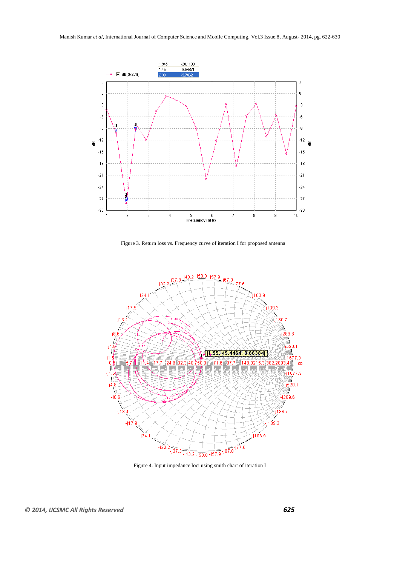

Figure 3. Return loss vs. Frequency curve of iteration I for proposed antenna



Figure 4. Input impedance loci using smith chart of iteration I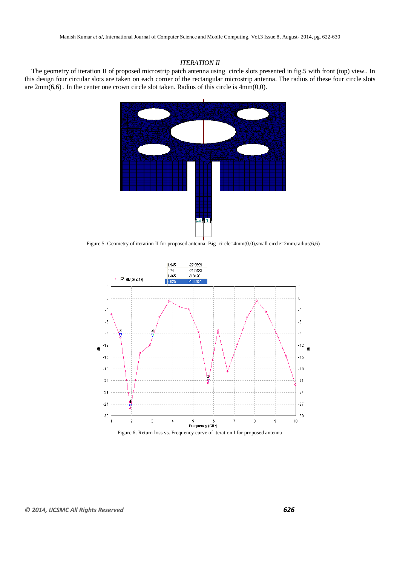# *ITERATION II*

The geometry of iteration II of proposed microstrip patch antenna using circle slots presented in fig.5 with front (top) view.. In this design four circular slots are taken on each corner of the rectangular microstrip antenna. The radius of these four circle slots are 2mm(6,6) . In the center one crown circle slot taken. Radius of this circle is 4mm(0,0).



Figure 5. Geometry of iteration II for proposed antenna. Big circle=4mm(0,0),small circle=2mm,radius(6,6)



Figure 6. Return loss vs. Frequency curve of iteration I for proposed antenna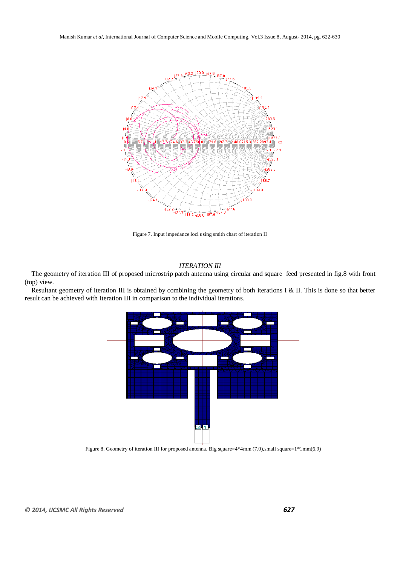

Figure 7. Input impedance loci using smith chart of iteration II

### *ITERATION III*

The geometry of iteration III of proposed microstrip patch antenna using circular and square feed presented in fig.8 with front (top) view.

Resultant geometry of iteration III is obtained by combining the geometry of both iterations I & II. This is done so that better result can be achieved with Iteration III in comparison to the individual iterations.



Figure 8. Geometry of iteration III for proposed antenna. Big square=4\*4mm (7,0),small square=1\*1mm(6,9)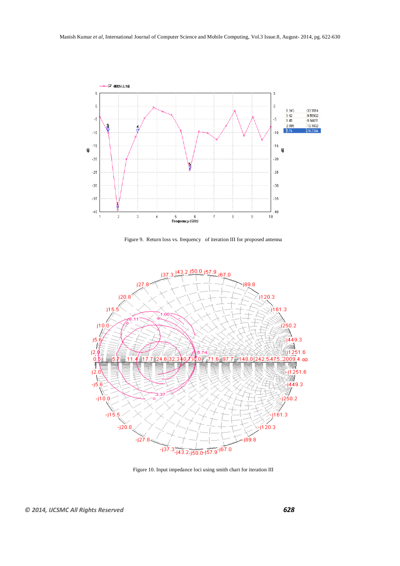

Figure 9. Return loss vs. frequency of iteration III for proposed antenna



Figure 10. Input impedance loci using smith chart for iteration III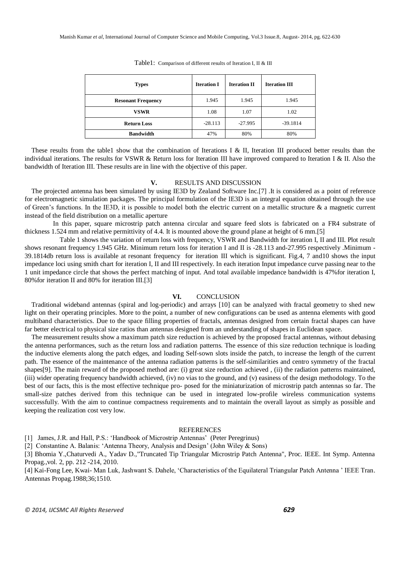| <b>Types</b>              | <b>Iteration I</b> | <b>Iteration II</b> | <b>Iteration III</b> |
|---------------------------|--------------------|---------------------|----------------------|
| <b>Resonant Frequency</b> | 1.945              | 1.945               | 1.945                |
| VSWR                      | 1.08               | 1.07                | 1.02                 |
| <b>Return Loss</b>        | $-28.113$          | $-27.995$           | $-39.1814$           |
| <b>Bandwidth</b>          | 47%                | 80%                 | 80%                  |

Table1: Comparison of different results of Iteration I, II & III

These results from the table1 show that the combination of Iterations I & II, Iteration III produced better results than the individual iterations. The results for VSWR & Return loss for Iteration III have improved compared to Iteration I & II. Also the bandwidth of Iteration III. These results are in line with the objective of this paper.

## **V.** RESULTS AND DISCUSSION

The projected antenna has been simulated by using IE3D by Zealand Software Inc.[7] .It is considered as a point of reference for electromagnetic simulation packages. The principal formulation of the IE3D is an integral equation obtained through the use of Green's functions. In the IE3D, it is possible to model both the electric current on a metallic structure  $\&$  a magnetic current instead of the field distribution on a metallic aperture

 In this paper, square microstrip patch antenna circular and square feed slots is fabricated on a FR4 substrate of thickness 1.524 mm and relative permittivity of 4.4. It is mounted above the ground plane at height of 6 mm.[5]

 Table 1 shows the variation of return loss with frequency, VSWR and Bandwidth for iteration I, II and III. Plot result shows resonant frequency 1.945 GHz. Minimum return loss for iteration I and II is -28.113 and-27.995 respectively .Minimum - 39.1814db return loss is available at resonant frequency for iteration III which is significant. Fig.4, 7 and10 shows the input impedance loci using smith chart for iteration I, II and III respectively. In each iteration Input impedance curve passing near to the 1 unit impedance circle that shows the perfect matching of input. And total available impedance bandwidth is 47%for iteration I, 80%for iteration II and 80% for iteration III.[3]

## **VI.** CONCLUSION

Traditional wideband antennas (spiral and log-periodic) and arrays [10] can be analyzed with fractal geometry to shed new light on their operating principles. More to the point, a number of new configurations can be used as antenna elements with good multiband characteristics. Due to the space filling properties of fractals, antennas designed from certain fractal shapes can have far better electrical to physical size ratios than antennas designed from an understanding of shapes in Euclidean space.

The measurement results show a maximum patch size reduction is achieved by the proposed fractal antennas, without debasing the antenna performances, such as the return loss and radiation patterns. The essence of this size reduction technique is loading the inductive elements along the patch edges, and loading Self-sown slots inside the patch, to increase the length of the current path. The essence of the maintenance of the antenna radiation patterns is the self-similarities and centro symmetry of the fractal shapes[9]. The main reward of the proposed method are: (i) great size reduction achieved , (ii) the radiation patterns maintained, (iii) wider operating frequency bandwidth achieved, (iv) no vias to the ground, and (v) easiness of the design methodology. To the best of our facts, this is the most effective technique pro- posed for the miniaturization of microstrip patch antennas so far. The small-size patches derived from this technique can be used in integrated low-profile wireless communication systems successfully. With the aim to continue compactness requirements and to maintain the overall layout as simply as possible and keeping the realization cost very low.

# REFERENCES

[1] James, J.R. and Hall, P.S.: 'Handbook of Microstrip Antennas' (Peter Peregrinus)

[2] Constantine A. Balanis: 'Antenna Theory, Analysis and Design' (John Wiley & Sons)

[3] Bhomia Y.,Chaturvedi A., Yadav D.,"Truncated Tip Triangular Microstrip Patch Antenna", Proc. IEEE. Int Symp. Antenna Propag.,vol. 2, pp. 212 -214, 2010.

[4] Kai-Fong Lee, Kwai- Man Luk, Jashwant S. Dahele, "Characteristics of the Equilateral Triangular Patch Antenna " IEEE Tran. Antennas Propag.1988;36;1510.